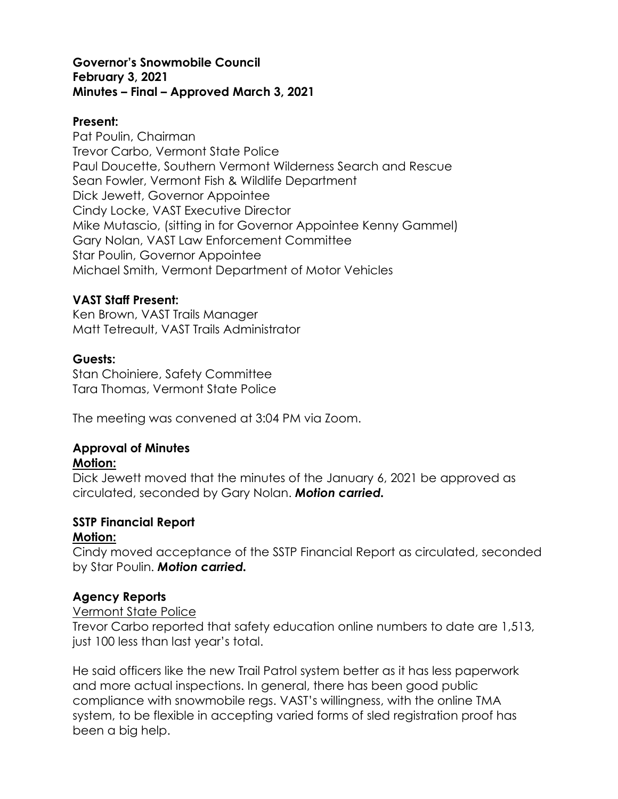#### **Governor's Snowmobile Council February 3, 2021 Minutes – Final – Approved March 3, 2021**

#### **Present:**

Pat Poulin, Chairman Trevor Carbo, Vermont State Police Paul Doucette, Southern Vermont Wilderness Search and Rescue Sean Fowler, Vermont Fish & Wildlife Department Dick Jewett, Governor Appointee Cindy Locke, VAST Executive Director Mike Mutascio, (sitting in for Governor Appointee Kenny Gammel) Gary Nolan, VAST Law Enforcement Committee Star Poulin, Governor Appointee Michael Smith, Vermont Department of Motor Vehicles

#### **VAST Staff Present:**

Ken Brown, VAST Trails Manager Matt Tetreault, VAST Trails Administrator

## **Guests:**

Stan Choiniere, Safety Committee Tara Thomas, Vermont State Police

The meeting was convened at 3:04 PM via Zoom.

## **Approval of Minutes**

#### **Motion:**

Dick Jewett moved that the minutes of the January 6, 2021 be approved as circulated, seconded by Gary Nolan. *Motion carried.*

# **SSTP Financial Report**

## **Motion:**

Cindy moved acceptance of the SSTP Financial Report as circulated, seconded by Star Poulin. *Motion carried.* 

## **Agency Reports**

#### Vermont State Police

Trevor Carbo reported that safety education online numbers to date are 1,513, just 100 less than last year's total.

He said officers like the new Trail Patrol system better as it has less paperwork and more actual inspections. In general, there has been good public compliance with snowmobile regs. VAST's willingness, with the online TMA system, to be flexible in accepting varied forms of sled registration proof has been a big help.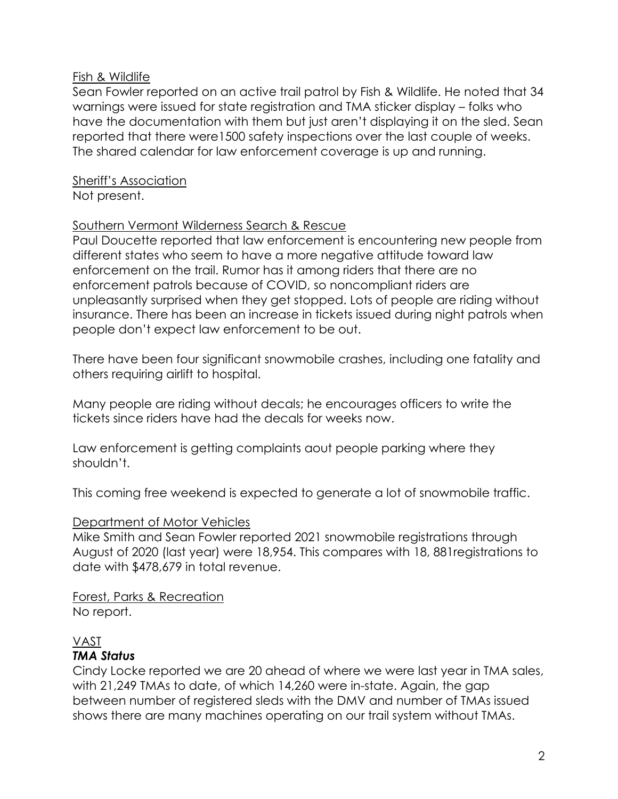#### Fish & Wildlife

Sean Fowler reported on an active trail patrol by Fish & Wildlife. He noted that 34 warnings were issued for state registration and TMA sticker display – folks who have the documentation with them but just aren't displaying it on the sled. Sean reported that there were1500 safety inspections over the last couple of weeks. The shared calendar for law enforcement coverage is up and running.

Sheriff's Association Not present.

#### Southern Vermont Wilderness Search & Rescue

Paul Doucette reported that law enforcement is encountering new people from different states who seem to have a more negative attitude toward law enforcement on the trail. Rumor has it among riders that there are no enforcement patrols because of COVID, so noncompliant riders are unpleasantly surprised when they get stopped. Lots of people are riding without insurance. There has been an increase in tickets issued during night patrols when people don't expect law enforcement to be out.

There have been four significant snowmobile crashes, including one fatality and others requiring airlift to hospital.

Many people are riding without decals; he encourages officers to write the tickets since riders have had the decals for weeks now.

Law enforcement is getting complaints aout people parking where they shouldn't.

This coming free weekend is expected to generate a lot of snowmobile traffic.

## Department of Motor Vehicles

Mike Smith and Sean Fowler reported 2021 snowmobile registrations through August of 2020 (last year) were 18,954. This compares with 18, 881registrations to date with \$478,679 in total revenue.

Forest, Parks & Recreation No report.

# VAST

## *TMA Status*

Cindy Locke reported we are 20 ahead of where we were last year in TMA sales, with 21,249 TMAs to date, of which 14,260 were in-state. Again, the gap between number of registered sleds with the DMV and number of TMAs issued shows there are many machines operating on our trail system without TMAs.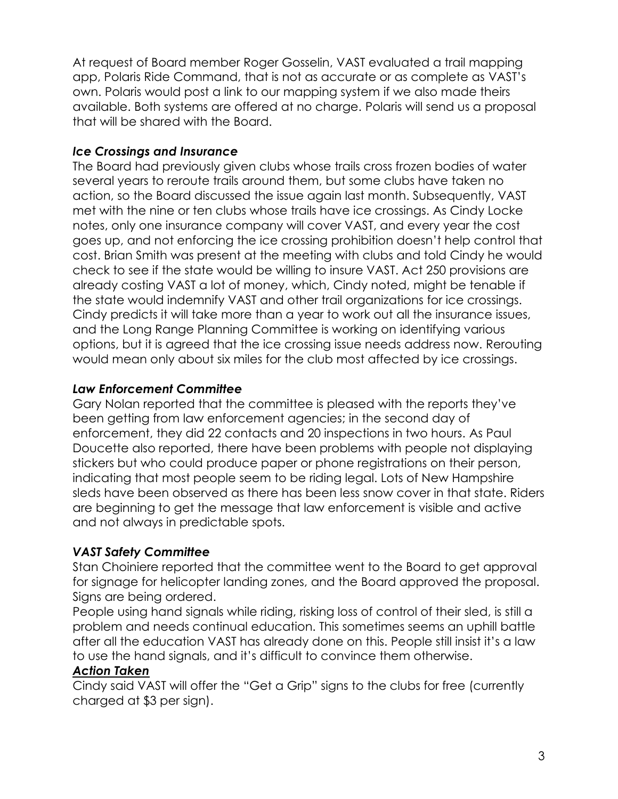At request of Board member Roger Gosselin, VAST evaluated a trail mapping app, Polaris Ride Command, that is not as accurate or as complete as VAST's own. Polaris would post a link to our mapping system if we also made theirs available. Both systems are offered at no charge. Polaris will send us a proposal that will be shared with the Board.

## *Ice Crossings and Insurance*

The Board had previously given clubs whose trails cross frozen bodies of water several years to reroute trails around them, but some clubs have taken no action, so the Board discussed the issue again last month. Subsequently, VAST met with the nine or ten clubs whose trails have ice crossings. As Cindy Locke notes, only one insurance company will cover VAST, and every year the cost goes up, and not enforcing the ice crossing prohibition doesn't help control that cost. Brian Smith was present at the meeting with clubs and told Cindy he would check to see if the state would be willing to insure VAST. Act 250 provisions are already costing VAST a lot of money, which, Cindy noted, might be tenable if the state would indemnify VAST and other trail organizations for ice crossings. Cindy predicts it will take more than a year to work out all the insurance issues, and the Long Range Planning Committee is working on identifying various options, but it is agreed that the ice crossing issue needs address now. Rerouting would mean only about six miles for the club most affected by ice crossings.

# *Law Enforcement Committee*

Gary Nolan reported that the committee is pleased with the reports they've been getting from law enforcement agencies; in the second day of enforcement, they did 22 contacts and 20 inspections in two hours. As Paul Doucette also reported, there have been problems with people not displaying stickers but who could produce paper or phone registrations on their person, indicating that most people seem to be riding legal. Lots of New Hampshire sleds have been observed as there has been less snow cover in that state. Riders are beginning to get the message that law enforcement is visible and active and not always in predictable spots.

# *VAST Safety Committee*

Stan Choiniere reported that the committee went to the Board to get approval for signage for helicopter landing zones, and the Board approved the proposal. Signs are being ordered.

People using hand signals while riding, risking loss of control of their sled, is still a problem and needs continual education. This sometimes seems an uphill battle after all the education VAST has already done on this. People still insist it's a law to use the hand signals, and it's difficult to convince them otherwise.

# *Action Taken*

Cindy said VAST will offer the "Get a Grip" signs to the clubs for free (currently charged at \$3 per sign).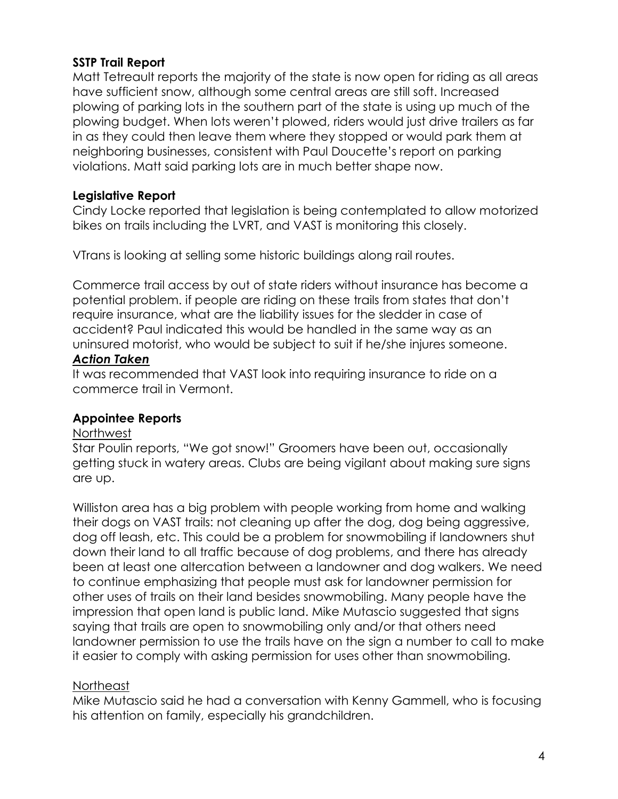# **SSTP Trail Report**

Matt Tetreault reports the majority of the state is now open for riding as all areas have sufficient snow, although some central areas are still soft. Increased plowing of parking lots in the southern part of the state is using up much of the plowing budget. When lots weren't plowed, riders would just drive trailers as far in as they could then leave them where they stopped or would park them at neighboring businesses, consistent with Paul Doucette's report on parking violations. Matt said parking lots are in much better shape now.

## **Legislative Report**

Cindy Locke reported that legislation is being contemplated to allow motorized bikes on trails including the LVRT, and VAST is monitoring this closely.

VTrans is looking at selling some historic buildings along rail routes.

Commerce trail access by out of state riders without insurance has become a potential problem. if people are riding on these trails from states that don't require insurance, what are the liability issues for the sledder in case of accident? Paul indicated this would be handled in the same way as an uninsured motorist, who would be subject to suit if he/she injures someone.

#### *Action Taken*

It was recommended that VAST look into requiring insurance to ride on a commerce trail in Vermont.

# **Appointee Reports**

#### Northwest

Star Poulin reports, "We got snow!" Groomers have been out, occasionally getting stuck in watery areas. Clubs are being vigilant about making sure signs are up.

Williston area has a big problem with people working from home and walking their dogs on VAST trails: not cleaning up after the dog, dog being aggressive, dog off leash, etc. This could be a problem for snowmobiling if landowners shut down their land to all traffic because of dog problems, and there has already been at least one altercation between a landowner and dog walkers. We need to continue emphasizing that people must ask for landowner permission for other uses of trails on their land besides snowmobiling. Many people have the impression that open land is public land. Mike Mutascio suggested that signs saying that trails are open to snowmobiling only and/or that others need landowner permission to use the trails have on the sign a number to call to make it easier to comply with asking permission for uses other than snowmobiling.

## Northeast

Mike Mutascio said he had a conversation with Kenny Gammell, who is focusing his attention on family, especially his grandchildren.